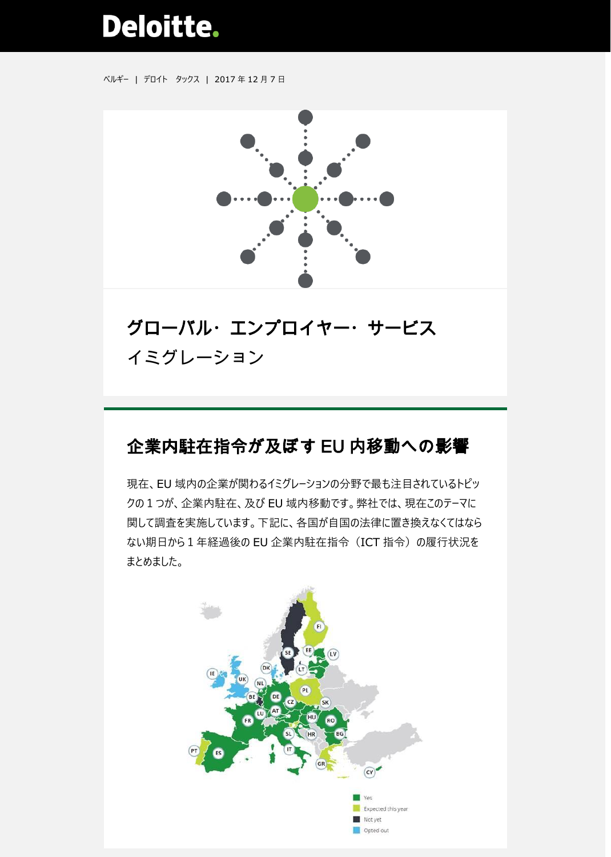# **Deloitte.**

ベルギー | デロイト タックス | 2017 年 12 月 7 日



## グローバル・エンプロイヤー・サービス イミグレーション

### 企業内駐在指令が及ぼす EU 内移動への影響

現在、EU 域内の企業が関わるイミグレーションの分野で最も注目されているトピッ クの1つが、企業内駐在、及び EU 域内移動です。弊社では、現在このテーマに 関して調査を実施しています。下記に、各国が自国の法律に置き換えなくてはなら ない期日から1年経過後の EU 企業内駐在指令(ICT 指令)の履行状況を まとめました。

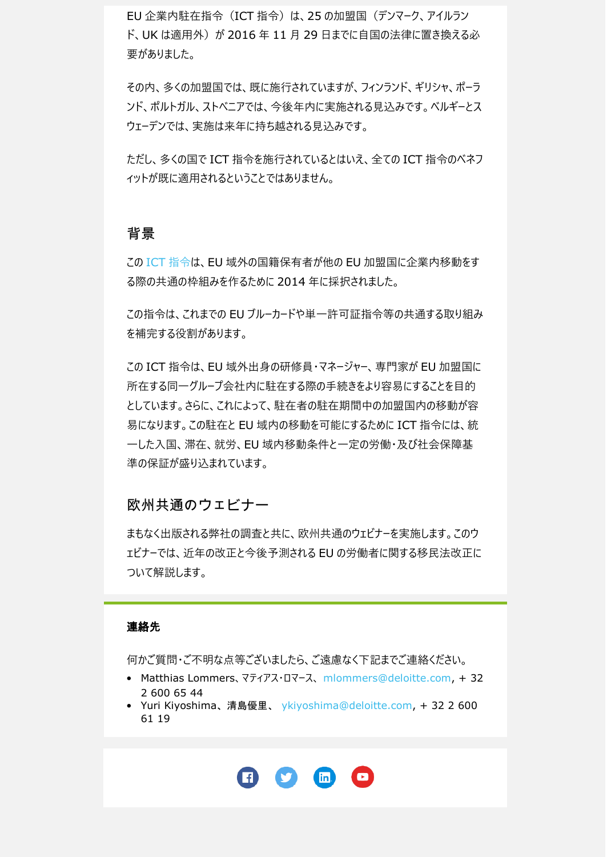EU 企業内駐在指令 (ICT 指令) は、25 の加盟国 (デンマーク、アイルラン ド、UK は適用外) が 2016 年 11 月 29 日までに自国の法律に置き換える必 要がありました。

その内、多くの加盟国では、既に施行されていますが、フィンランド、ギリシャ、ポーラ ンド、ポルトガル、ストべニアでは、今後年内に実施される見込みです。ベルギーとス ウェーデンでは、実施は来年に持ち越される見込みです。

ただし、多くの国で ICT 指令を施行されているとはいえ、全ての ICT 指令のベネフ ィットが既に適用されるということではありません。

#### 背景

この ICT [指令は](https://www2.deloitte.com/content/dam/Deloitte/be/Documents/tax/TaxAlerts/IndividualTaxAlerts/Immigration%20and%20social%20security%20alert%20-%20Intra%20Corporate%20Transferees%20Directive%20-%2010%20February%202017.pdf)、EU 域外の国籍保有者が他の EU 加盟国に企業内移動をす る際の共通の枠組みを作るために 2014 年に採択されました。

この指令は、これまでの EU ブルーカードや単一許可証指令等の共通する取り組み を補完する役割があります。

この ICT 指令は、EU 域外出身の研修員・マネージャー、専門家が EU 加盟国に 所在する同一グループ会社内に駐在する際の手続きをより容易にすることを目的 としています。さらに、これによって、駐在者の駐在期間中の加盟国内の移動が容 易になります。この駐在と EU 域内の移動を可能にするために ICT 指令には、統 一した入国、滞在、就労、EU 域内移動条件と一定の労働・及び社会保障基 準の保証が盛り込まれています。

#### 欧州共通のウェビナー

まもなく出版される弊社の調査と共に、欧州共通のウェビナーを実施します。このウ ェビナーでは、近年の改正と今後予測される EU の労働者に関する移民法改正に ついて解説します。

#### 連絡先

何かご質問・ご不明な点等ございましたら、ご遠慮なく下記までご連絡ください。

- Matthias Lommers、マティアス・ロマース、 [mlommers@deloitte.com,](mailto:mlommers@deloitte.com) + 32 2 600 65 44
- Yuri Kiyoshima、清島優里、 [ykiyoshima@deloitte.com,](mailto:ykiyoshima@deloitte.com) + 32 2 600 61 19